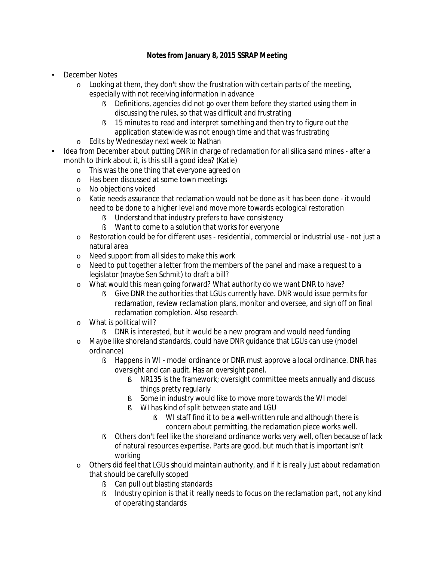## **Notes from January 8, 2015 SSRAP Meeting**

- December Notes
	- $\circ$  Looking at them, they don't show the frustration with certain parts of the meeting, especially with not receiving information in advance
		- **§** Definitions, agencies did not go over them before they started using them in discussing the rules, so that was difficult and frustrating
		- § 15 minutes to read and interpret something and then try to figure out the application statewide was not enough time and that was frustrating
	- o Edits by Wednesday next week to Nathan
- Idea from December about putting DNR in charge of reclamation for all silica sand mines after a month to think about it, is this still a good idea? (Katie)
	- o This was the one thing that everyone agreed on
	- o Has been discussed at some town meetings
	- o No objections voiced
	- o Katie needs assurance that reclamation would not be done as it has been done it would need to be done to a higher level and move more towards ecological restoration
		- **§** Understand that industry prefers to have consistency
		- § Want to come to a solution that works for everyone
	- o Restoration could be for different uses residential, commercial or industrial use not just a natural area
	- o Need support from all sides to make this work
	- o Need to put together a letter from the members of the panel and make a request to a legislator (maybe Sen Schmit) to draft a bill?
	- o What would this mean going forward? What authority do we want DNR to have?
		- § Give DNR the authorities that LGUs currently have. DNR would issue permits for reclamation, review reclamation plans, monitor and oversee, and sign off on final reclamation completion. Also research.
	- o What is political will?
		- § DNR is interested, but it would be a new program and would need funding
	- o Maybe like shoreland standards, could have DNR guidance that LGUs can use (model ordinance)
		- § Happens in WI model ordinance or DNR must approve a local ordinance. DNR has oversight and can audit. Has an oversight panel.
			- § NR135 is the framework; oversight committee meets annually and discuss things pretty regularly
			- § Some in industry would like to move more towards the WI model
			- § WI has kind of split between state and LGU
				- § WI staff find it to be a well-written rule and although there is concern about permitting, the reclamation piece works well.
		- § Others don't feel like the shoreland ordinance works very well, often because of lack of natural resources expertise. Parts are good, but much that is important isn't working
	- o Others did feel that LGUs should maintain authority, and if it is really just about reclamation that should be carefully scoped
		- § Can pull out blasting standards
		- § Industry opinion is that it really needs to focus on the reclamation part, not any kind of operating standards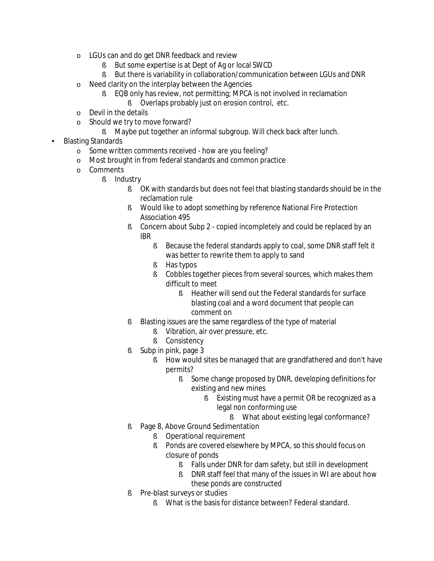- o LGUs can and do get DNR feedback and review
	- § But some expertise is at Dept of Ag or local SWCD
	- § But there is variability in collaboration/communication between LGUs and DNR
- o Need clarity on the interplay between the Agencies
	- **§** EQB only has review, not permitting; MPCA is not involved in reclamation
		- **§** Overlaps probably just on erosion control, etc.
- o Devil in the details
- o Should we try to move forward?
	- § Maybe put together an informal subgroup. Will check back after lunch.
- Blasting Standards
	- o Some written comments received how are you feeling?
	- o Most brought in from federal standards and common practice
	- o Comments
		- § Industry
			- § OK with standards but does not feel that blasting standards should be in the reclamation rule
			- **§** Would like to adopt something by reference National Fire Protection Association 495
			- **§** Concern about Subp 2 copied incompletely and could be replaced by an IBR
				- § Because the federal standards apply to coal, some DNR staff felt it was better to rewrite them to apply to sand
				- § Has typos
				- **§** Cobbles together pieces from several sources, which makes them difficult to meet
					- § Heather will send out the Federal standards for surface blasting coal and a word document that people can comment on
			- § Blasting issues are the same regardless of the type of material
				- **§** Vibration, air over pressure, etc.
				- § Consistency
			- § Subp in pink, page 3
				- § How would sites be managed that are grandfathered and don't have permits?
					- **§** Some change proposed by DNR, developing definitions for existing and new mines
						- **§** Existing must have a permit OR be recognized as a legal non conforming use
							- § What about existing legal conformance?
			- § Page 8, Above Ground Sedimentation
				- **§** Operational requirement
				- **§** Ponds are covered elsewhere by MPCA, so this should focus on closure of ponds
					- § Falls under DNR for dam safety, but still in development
					- § DNR staff feel that many of the issues in WI are about how these ponds are constructed
			- **§** Pre-blast surveys or studies
				- § What is the basis for distance between? Federal standard.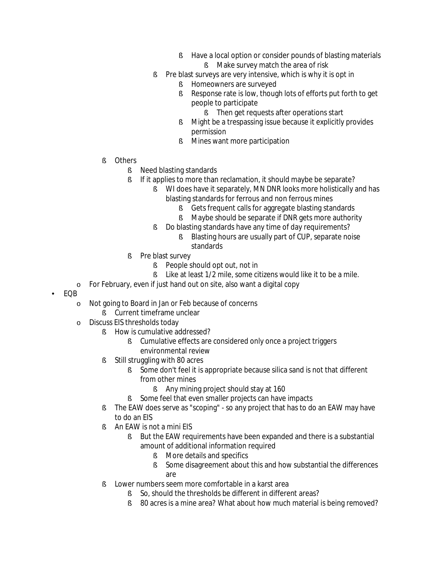- **§** Have a local option or consider pounds of blasting materials
	- **§** Make survey match the area of risk
- § Pre blast surveys are very intensive, which is why it is opt in
	- **§** Homeowners are surveyed
	- § Response rate is low, though lots of efforts put forth to get people to participate
		- **§** Then get requests after operations start
	- § Might be a trespassing issue because it explicitly provides permission
	- **§** Mines want more participation
- § Others
	- **§** Need blasting standards
	- **§** If it applies to more than reclamation, it should maybe be separate?
		- **§** WI does have it separately, MN DNR looks more holistically and has blasting standards for ferrous and non ferrous mines
			- § Gets frequent calls for aggregate blasting standards
			- **§** Maybe should be separate if DNR gets more authority
		- § Do blasting standards have any time of day requirements?
			- § Blasting hours are usually part of CUP, separate noise standards
	- § Pre blast survey
		- § People should opt out, not in
		- § Like at least 1/2 mile, some citizens would like it to be a mile.
- o For February, even if just hand out on site, also want a digital copy
- EQB
	- o Not going to Board in Jan or Feb because of concerns
		- **§** Current timeframe unclear
	- o Discuss EIS thresholds today
		- **§** How is cumulative addressed?
			- **§** Cumulative effects are considered only once a project triggers environmental review
		- § Still struggling with 80 acres
			- § Some don't feel it is appropriate because silica sand is not that different from other mines
				- **§** Any mining project should stay at 160
			- § Some feel that even smaller projects can have impacts
		- **§** The EAW does serve as "scoping" so any project that has to do an EAW may have to do an EIS
		- § An EAW is not a mini EIS
			- § But the EAW requirements have been expanded and there is a substantial amount of additional information required
				- **§** More details and specifics
				- § Some disagreement about this and how substantial the differences are
		- § Lower numbers seem more comfortable in a karst area
			- § So, should the thresholds be different in different areas?
			- § 80 acres is a mine area? What about how much material is being removed?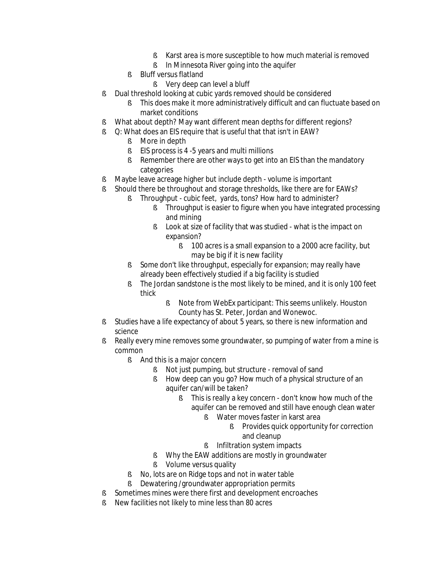- § Karst area is more susceptible to how much material is removed
- **§** In Minnesota River going into the aquifer
- § Bluff versus flatland
	- **§** Very deep can level a bluff
- § Dual threshold looking at cubic yards removed should be considered
	- **§** This does make it more administratively difficult and can fluctuate based on market conditions
- § What about depth? May want different mean depths for different regions?
- § O: What does an EIS require that is useful that that isn't in EAW?
	- § More in depth
	- **§** EIS process is 4 -5 years and multi millions
	- **§** Remember there are other ways to get into an EIS than the mandatory categories
- § Maybe leave acreage higher but include depth volume is important
- § Should there be throughout and storage thresholds, like there are for EAWs?
	- **§** Throughput cubic feet, yards, tons? How hard to administer?
		- **§** Throughput is easier to figure when you have integrated processing and mining
		- **§** Look at size of facility that was studied what is the impact on expansion?
			- § 100 acres is a small expansion to a 2000 acre facility, but may be big if it is new facility
		- § Some don't like throughput, especially for expansion; may really have already been effectively studied if a big facility is studied
		- § The Jordan sandstone is the most likely to be mined, and it is only 100 feet thick
			- § Note from WebEx participant: This seems unlikely. Houston County has St. Peter, Jordan and Wonewoc.
- **§** Studies have a life expectancy of about 5 years, so there is new information and science
- **§** Really every mine removes some groundwater, so pumping of water from a mine is common
	- **§** And this is a major concern
		- § Not just pumping, but structure removal of sand
		- **§** How deep can you go? How much of a physical structure of an aquifer can/will be taken?
			- § This is really a key concern don't know how much of the aquifer can be removed and still have enough clean water
				- § Water moves faster in karst area
					- **§** Provides quick opportunity for correction and cleanup
				- **§** Infiltration system impacts
		- § Why the EAW additions are mostly in groundwater
		- **§** Volume versus quality
	- § No, lots are on Ridge tops and not in water table
	- **§** Dewatering /groundwater appropriation permits
- **§** Sometimes mines were there first and development encroaches
- § New facilities not likely to mine less than 80 acres